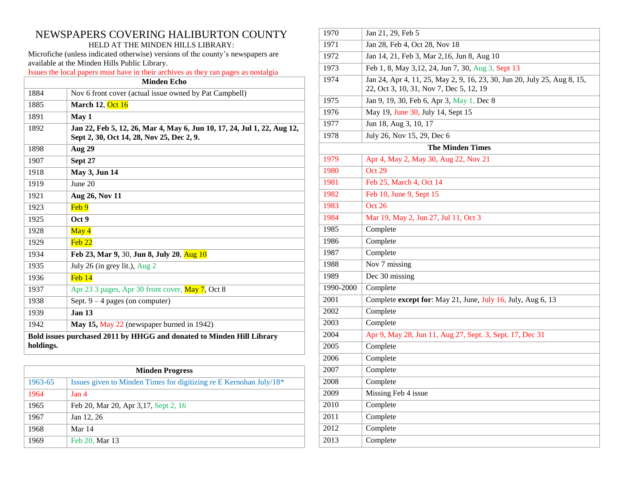# NEWSPAPERS COVERING HALIBURTON COUNTY HELD AT THE MINDEN HILLS LIBRARY:

Microfiche (unless indicated otherwise) versions of the county's newspapers are available at the Minden Hills Public Library.

Issues the local papers must have in their archives as they ran pages as nostalgia

| <b>Minden Echo</b>                                                                 |                                                                                                                      |  |
|------------------------------------------------------------------------------------|----------------------------------------------------------------------------------------------------------------------|--|
| 1884                                                                               | Nov 6 front cover (actual issue owned by Pat Campbell)                                                               |  |
| 1885                                                                               | <b>March 12, Oct 16</b>                                                                                              |  |
| 1891                                                                               | May 1                                                                                                                |  |
| 1892                                                                               | Jan 22, Feb 5, 12, 26, Mar 4, May 6, Jun 10, 17, 24, Jul 1, 22, Aug 12,<br>Sept 2, 30, Oct 14, 28, Nov 25, Dec 2, 9. |  |
| 1898                                                                               | <b>Aug 29</b>                                                                                                        |  |
| 1907                                                                               | Sept 27                                                                                                              |  |
| 1918                                                                               | May 3, Jun 14                                                                                                        |  |
| 1919                                                                               | June 20                                                                                                              |  |
| 1921                                                                               | Aug 26, Nov 11                                                                                                       |  |
| 1923                                                                               | Feb 9                                                                                                                |  |
| 1925                                                                               | Oct 9                                                                                                                |  |
| 1928                                                                               | May 4                                                                                                                |  |
| 1929                                                                               | Feh 22                                                                                                               |  |
| 1934                                                                               | Feb 23, Mar 9, 30, Jun 8, July 20, Aug 10                                                                            |  |
| 1935                                                                               | July 26 (in grey lit.), $Aug 2$                                                                                      |  |
| 1936                                                                               | $Feh$ 14                                                                                                             |  |
| 1937                                                                               | Apr 23 3 pages, Apr 30 front cover, May 7, Oct 8                                                                     |  |
| 1938                                                                               | Sept. $9 - 4$ pages (on computer)                                                                                    |  |
| 1939                                                                               | Jan <sub>13</sub>                                                                                                    |  |
| 1942                                                                               | May 15, May 22 (newspaper burned in 1942)                                                                            |  |
| Bold issues purchased 2011 by HHGG and donated to Minden Hill Library<br>holdings. |                                                                                                                      |  |

| <b>Minden Progress</b> |                                                                       |  |
|------------------------|-----------------------------------------------------------------------|--|
| 1963-65                | Issues given to Minden Times for digitizing re E Kernohan July/18 $*$ |  |
| 1964                   | Jan <sub>4</sub>                                                      |  |
| 1965                   | Feb 20, Mar 20, Apr 3, 17, Sept 2, 16                                 |  |
| 1967                   | Jan 12, 26                                                            |  |
| 1968                   | Mar 14                                                                |  |
| 1969                   | Feb 20, Mar 13                                                        |  |

| 1970      | Jan 21, 29, Feb 5                                                                                                   |  |  |
|-----------|---------------------------------------------------------------------------------------------------------------------|--|--|
| 1971      | Jan 28, Feb 4, Oct 28, Nov 18                                                                                       |  |  |
| 1972      | Jan 14, 21, Feb 3, Mar 2, 16, Jun 8, Aug 10                                                                         |  |  |
| 1973      | Feb 1, 8, May 3, 12, 24, Jun 7, 30, Aug 3, Sept 13                                                                  |  |  |
| 1974      | Jan 24, Apr 4, 11, 25, May 2, 9, 16, 23, 30, Jun 20, July 25, Aug 8, 15,<br>22, Oct 3, 10, 31, Nov 7, Dec 5, 12, 19 |  |  |
| 1975      | Jan 9, 19, 30, Feb 6, Apr 3, May 1, Dec 8                                                                           |  |  |
| 1976      | May 19, June 30, July 14, Sept 15                                                                                   |  |  |
| 1977      | Jun 18, Aug 3, 10, 17                                                                                               |  |  |
| 1978      | July 26, Nov 15, 29, Dec 6                                                                                          |  |  |
|           | <b>The Minden Times</b>                                                                                             |  |  |
| 1979      | Apr 4, May 2, May 30, Aug 22, Nov 21                                                                                |  |  |
| 1980      | Oct 29                                                                                                              |  |  |
| 1981      | Feb 25, March 4, Oct 14                                                                                             |  |  |
| 1982      | Feb 10, June 9, Sept 15                                                                                             |  |  |
| 1983      | Oct 26                                                                                                              |  |  |
| 1984      | Mar 19, May 2, Jun 27, Jul 11, Oct 3                                                                                |  |  |
| 1985      | Complete                                                                                                            |  |  |
| 1986      | Complete                                                                                                            |  |  |
| 1987      | Complete                                                                                                            |  |  |
| 1988      | Nov 7 missing                                                                                                       |  |  |
| 1989      | Dec 30 missing                                                                                                      |  |  |
| 1990-2000 | Complete                                                                                                            |  |  |
| 2001      | Complete except for: May 21, June, July 16, July, Aug 6, 13                                                         |  |  |
| 2002      | Complete                                                                                                            |  |  |
| 2003      | Complete                                                                                                            |  |  |
| 2004      | Apr 9, May 28, Jun 11, Aug 27, Sept. 3, Sept. 17, Dec 31                                                            |  |  |
| 2005      | Complete                                                                                                            |  |  |
| 2006      | Complete                                                                                                            |  |  |
| 2007      | Complete                                                                                                            |  |  |
| 2008      | Complete                                                                                                            |  |  |
| 2009      | Missing Feb 4 issue                                                                                                 |  |  |
| 2010      | Complete                                                                                                            |  |  |
| 2011      | Complete                                                                                                            |  |  |
| 2012      | Complete                                                                                                            |  |  |
| 2013      | Complete                                                                                                            |  |  |
|           |                                                                                                                     |  |  |